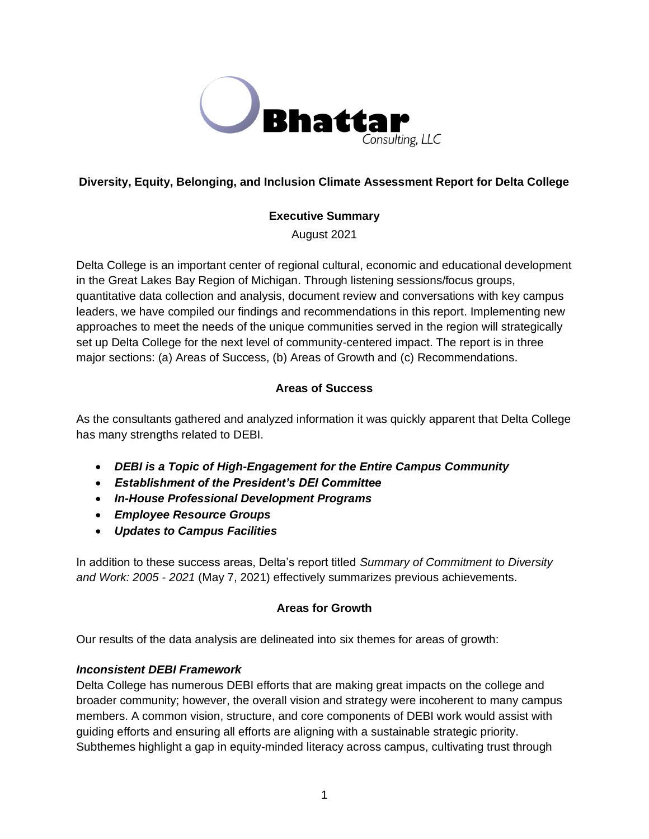

# **Diversity, Equity, Belonging, and Inclusion Climate Assessment Report for Delta College**

## **Executive Summary**

August 2021

Delta College is an important center of regional cultural, economic and educational development in the Great Lakes Bay Region of Michigan. Through listening sessions/focus groups, quantitative data collection and analysis, document review and conversations with key campus leaders, we have compiled our findings and recommendations in this report. Implementing new approaches to meet the needs of the unique communities served in the region will strategically set up Delta College for the next level of community-centered impact. The report is in three major sections: (a) Areas of Success, (b) Areas of Growth and (c) Recommendations.

## **Areas of Success**

As the consultants gathered and analyzed information it was quickly apparent that Delta College has many strengths related to DEBI.

- *DEBI is a Topic of High-Engagement for the Entire Campus Community*
- *Establishment of the President's DEI Committee*
- *In-House Professional Development Programs*
- *Employee Resource Groups*
- *Updates to Campus Facilities*

In addition to these success areas, Delta's report titled *Summary of Commitment to Diversity and Work: 2005 - 2021* (May 7, 2021) effectively summarizes previous achievements.

## **Areas for Growth**

Our results of the data analysis are delineated into six themes for areas of growth:

## *Inconsistent DEBI Framework*

Delta College has numerous DEBI efforts that are making great impacts on the college and broader community; however, the overall vision and strategy were incoherent to many campus members. A common vision, structure, and core components of DEBI work would assist with guiding efforts and ensuring all efforts are aligning with a sustainable strategic priority. Subthemes highlight a gap in equity-minded literacy across campus, cultivating trust through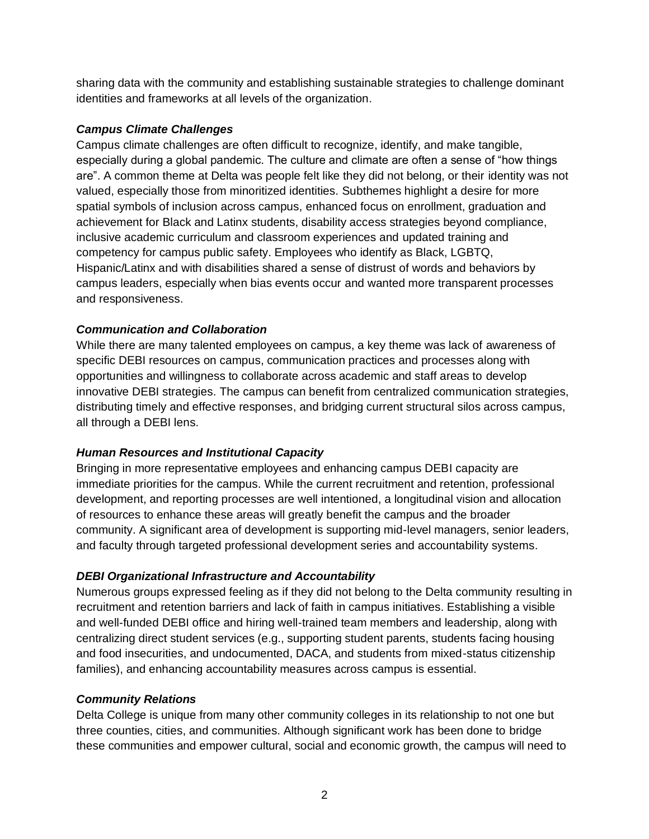sharing data with the community and establishing sustainable strategies to challenge dominant identities and frameworks at all levels of the organization.

## *Campus Climate Challenges*

Campus climate challenges are often difficult to recognize, identify, and make tangible, especially during a global pandemic. The culture and climate are often a sense of "how things are". A common theme at Delta was people felt like they did not belong, or their identity was not valued, especially those from minoritized identities. Subthemes highlight a desire for more spatial symbols of inclusion across campus, enhanced focus on enrollment, graduation and achievement for Black and Latinx students, disability access strategies beyond compliance, inclusive academic curriculum and classroom experiences and updated training and competency for campus public safety. Employees who identify as Black, LGBTQ, Hispanic/Latinx and with disabilities shared a sense of distrust of words and behaviors by campus leaders, especially when bias events occur and wanted more transparent processes and responsiveness.

### *Communication and Collaboration*

While there are many talented employees on campus, a key theme was lack of awareness of specific DEBI resources on campus, communication practices and processes along with opportunities and willingness to collaborate across academic and staff areas to develop innovative DEBI strategies. The campus can benefit from centralized communication strategies, distributing timely and effective responses, and bridging current structural silos across campus, all through a DEBI lens.

## *Human Resources and Institutional Capacity*

Bringing in more representative employees and enhancing campus DEBI capacity are immediate priorities for the campus. While the current recruitment and retention, professional development, and reporting processes are well intentioned, a longitudinal vision and allocation of resources to enhance these areas will greatly benefit the campus and the broader community. A significant area of development is supporting mid-level managers, senior leaders, and faculty through targeted professional development series and accountability systems.

## *DEBI Organizational Infrastructure and Accountability*

Numerous groups expressed feeling as if they did not belong to the Delta community resulting in recruitment and retention barriers and lack of faith in campus initiatives. Establishing a visible and well-funded DEBI office and hiring well-trained team members and leadership, along with centralizing direct student services (e.g., supporting student parents, students facing housing and food insecurities, and undocumented, DACA, and students from mixed-status citizenship families), and enhancing accountability measures across campus is essential.

### *Community Relations*

Delta College is unique from many other community colleges in its relationship to not one but three counties, cities, and communities. Although significant work has been done to bridge these communities and empower cultural, social and economic growth, the campus will need to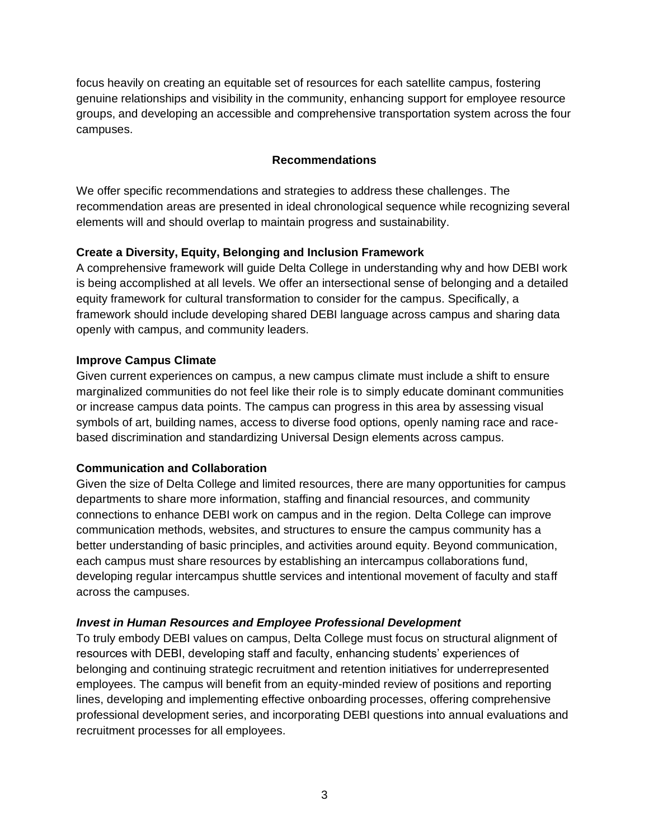focus heavily on creating an equitable set of resources for each satellite campus, fostering genuine relationships and visibility in the community, enhancing support for employee resource groups, and developing an accessible and comprehensive transportation system across the four campuses.

### **Recommendations**

We offer specific recommendations and strategies to address these challenges. The recommendation areas are presented in ideal chronological sequence while recognizing several elements will and should overlap to maintain progress and sustainability.

### **Create a Diversity, Equity, Belonging and Inclusion Framework**

A comprehensive framework will guide Delta College in understanding why and how DEBI work is being accomplished at all levels. We offer an intersectional sense of belonging and a detailed equity framework for cultural transformation to consider for the campus. Specifically, a framework should include developing shared DEBI language across campus and sharing data openly with campus, and community leaders.

### **Improve Campus Climate**

Given current experiences on campus, a new campus climate must include a shift to ensure marginalized communities do not feel like their role is to simply educate dominant communities or increase campus data points. The campus can progress in this area by assessing visual symbols of art, building names, access to diverse food options, openly naming race and racebased discrimination and standardizing Universal Design elements across campus.

## **Communication and Collaboration**

Given the size of Delta College and limited resources, there are many opportunities for campus departments to share more information, staffing and financial resources, and community connections to enhance DEBI work on campus and in the region. Delta College can improve communication methods, websites, and structures to ensure the campus community has a better understanding of basic principles, and activities around equity. Beyond communication, each campus must share resources by establishing an intercampus collaborations fund, developing regular intercampus shuttle services and intentional movement of faculty and staff across the campuses.

## *Invest in Human Resources and Employee Professional Development*

To truly embody DEBI values on campus, Delta College must focus on structural alignment of resources with DEBI, developing staff and faculty, enhancing students' experiences of belonging and continuing strategic recruitment and retention initiatives for underrepresented employees. The campus will benefit from an equity-minded review of positions and reporting lines, developing and implementing effective onboarding processes, offering comprehensive professional development series, and incorporating DEBI questions into annual evaluations and recruitment processes for all employees.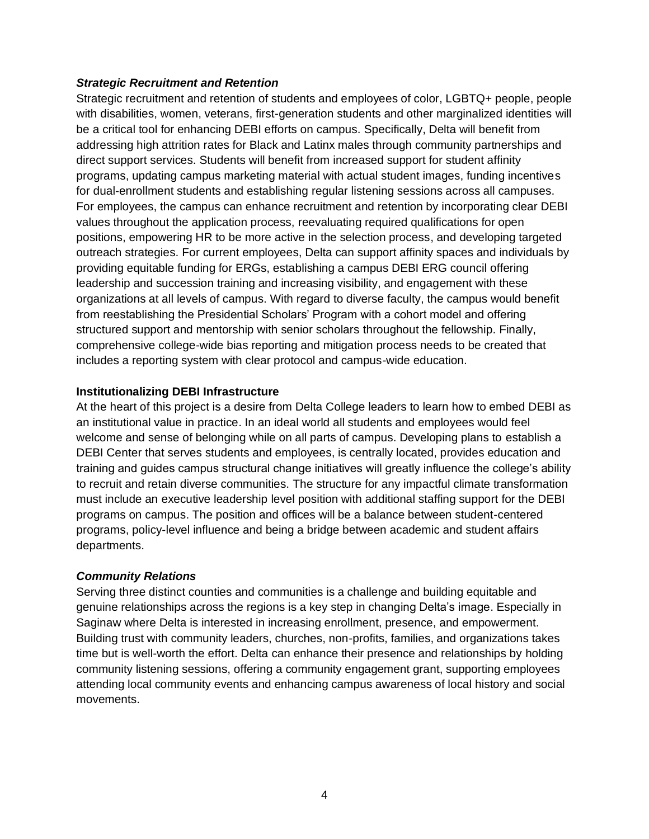### *Strategic Recruitment and Retention*

Strategic recruitment and retention of students and employees of color, LGBTQ+ people, people with disabilities, women, veterans, first-generation students and other marginalized identities will be a critical tool for enhancing DEBI efforts on campus. Specifically, Delta will benefit from addressing high attrition rates for Black and Latinx males through community partnerships and direct support services. Students will benefit from increased support for student affinity programs, updating campus marketing material with actual student images, funding incentives for dual-enrollment students and establishing regular listening sessions across all campuses. For employees, the campus can enhance recruitment and retention by incorporating clear DEBI values throughout the application process, reevaluating required qualifications for open positions, empowering HR to be more active in the selection process, and developing targeted outreach strategies. For current employees, Delta can support affinity spaces and individuals by providing equitable funding for ERGs, establishing a campus DEBI ERG council offering leadership and succession training and increasing visibility, and engagement with these organizations at all levels of campus. With regard to diverse faculty, the campus would benefit from reestablishing the Presidential Scholars' Program with a cohort model and offering structured support and mentorship with senior scholars throughout the fellowship. Finally, comprehensive college-wide bias reporting and mitigation process needs to be created that includes a reporting system with clear protocol and campus-wide education.

### **Institutionalizing DEBI Infrastructure**

At the heart of this project is a desire from Delta College leaders to learn how to embed DEBI as an institutional value in practice. In an ideal world all students and employees would feel welcome and sense of belonging while on all parts of campus. Developing plans to establish a DEBI Center that serves students and employees, is centrally located, provides education and training and guides campus structural change initiatives will greatly influence the college's ability to recruit and retain diverse communities. The structure for any impactful climate transformation must include an executive leadership level position with additional staffing support for the DEBI programs on campus. The position and offices will be a balance between student-centered programs, policy-level influence and being a bridge between academic and student affairs departments.

### *Community Relations*

Serving three distinct counties and communities is a challenge and building equitable and genuine relationships across the regions is a key step in changing Delta's image. Especially in Saginaw where Delta is interested in increasing enrollment, presence, and empowerment. Building trust with community leaders, churches, non-profits, families, and organizations takes time but is well-worth the effort. Delta can enhance their presence and relationships by holding community listening sessions, offering a community engagement grant, supporting employees attending local community events and enhancing campus awareness of local history and social movements.